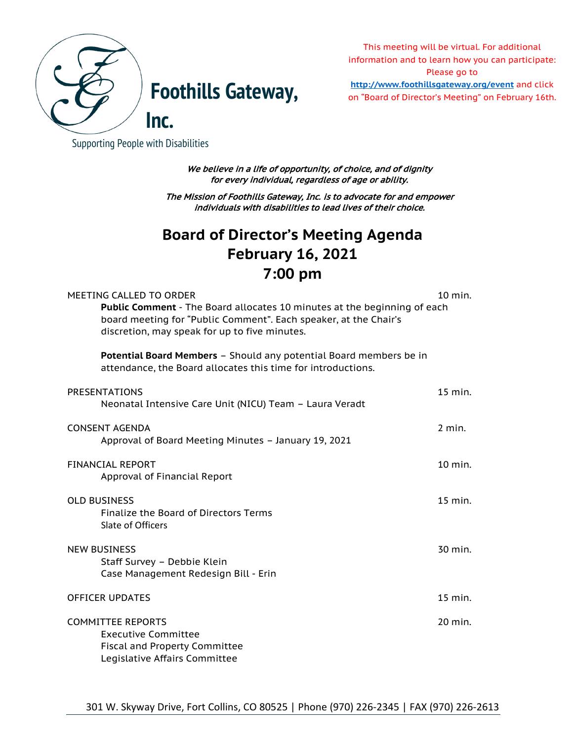

This meeting will be virtual. For additional information and to learn how you can participate: Please go to

**Foothills Gateway, <http://www.foothillsgateway.org/event>** and click on "Board of Director's Meeting" on February 16th.

Supporting People with Disabilities

| We believe in a life of opportunity, of choice, and of dignity<br>for every individual, regardless of age or ability.                                                                                                    |           |
|--------------------------------------------------------------------------------------------------------------------------------------------------------------------------------------------------------------------------|-----------|
| The Mission of Foothills Gateway, Inc. is to advocate for and empower<br>individuals with disabilities to lead lives of their choice.                                                                                    |           |
| <b>Board of Director's Meeting Agenda</b>                                                                                                                                                                                |           |
| <b>February 16, 2021</b>                                                                                                                                                                                                 |           |
| 7:00 pm                                                                                                                                                                                                                  |           |
| MEETING CALLED TO ORDER<br>Public Comment - The Board allocates 10 minutes at the beginning of each<br>board meeting for "Public Comment". Each speaker, at the Chair's<br>discretion, may speak for up to five minutes. | $10$ min. |
| <b>Potential Board Members - Should any potential Board members be in</b><br>attendance, the Board allocates this time for introductions.                                                                                |           |
| <b>PRESENTATIONS</b><br>Neonatal Intensive Care Unit (NICU) Team - Laura Veradt                                                                                                                                          | 15 min.   |
| <b>CONSENT AGENDA</b><br>Approval of Board Meeting Minutes - January 19, 2021                                                                                                                                            | $2$ min.  |
| FINANCIAL REPORT<br>Approval of Financial Report                                                                                                                                                                         | 10 min.   |
| <b>OLD BUSINESS</b><br><b>Finalize the Board of Directors Terms</b><br>Slate of Officers                                                                                                                                 | 15 min.   |
| <b>NEW BUSINESS</b><br>Staff Survey - Debbie Klein<br>Case Management Redesign Bill - Erin                                                                                                                               | 30 min.   |
| <b>OFFICER UPDATES</b>                                                                                                                                                                                                   | 15 min.   |
| <b>COMMITTEE REPORTS</b><br><b>Executive Committee</b><br><b>Fiscal and Property Committee</b><br>Legislative Affairs Committee                                                                                          | 20 min.   |